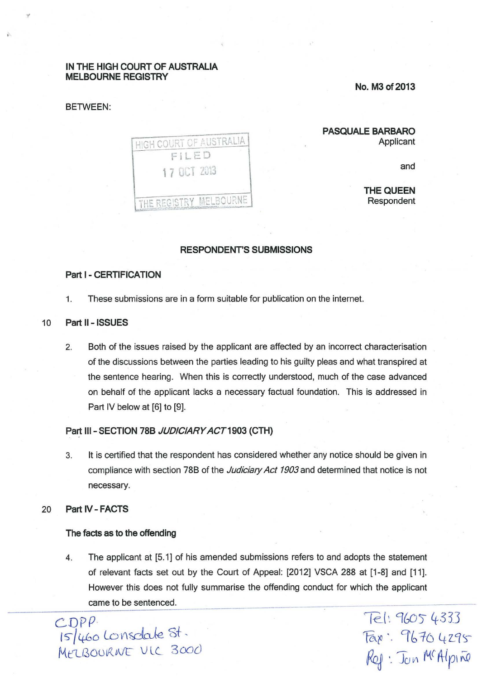## IN THE HIGH COURT OF AUSTRALIA MELBOURNE REGISTRY

#### BETWEEN:

No. M3 of 2013

| HIGH COURT OF AUSTRALIA<br>FILED |
|----------------------------------|
| 17 OCT 2013                      |
| THE REGISTRY MELBOURNE           |

## PASQUALE BARBARO Applicant

and

THE QUEEN Respondent

# RESPONDENT'S SUBMISSIONS

## Part I - CERTIFICATION

- 1. These submissions are in a form suitable for publication on the internet.
- 10 Part II ISSUES
	- 2. Both of the issues raised by the applicant are affected by an incorrect characterisation of the discussions between the parties leading to his guilty pleas and what transpired at the sentence hearing. When this is correctly understood, much of the case advanced on behalf of the applicant lacks a necessary factual foundation. This is addressed in Part IV below at [6] to [9].

### Part III - SECTION 78B JUDICIARY ACT 1903 (CTH)

- 3. It is certified that the respondent has considered whether any notice should be given in compliance with section 78B of the Judiciary *Act* 1903 and determined that notice is not necessary.
- 20 Part IV- FACTS

#### The facts as to the offending

4. The applicant at [5.1] of his amended submissions refers to and adopts the statement of relevant facts set out by the Court of Appeal: [2012] VSCA 288 at [1-8] and [11]. However this does not fully summarise the offending conduct for which the applicant came to be sentenced.

CDPP.  $15/460$  Lonsdale St. MELBOORNE VIC 3000

1-e\_(t. 9GO) *4333*   $Fax$ : 9670 4295  $R_{Q}$  : Jon McAlpino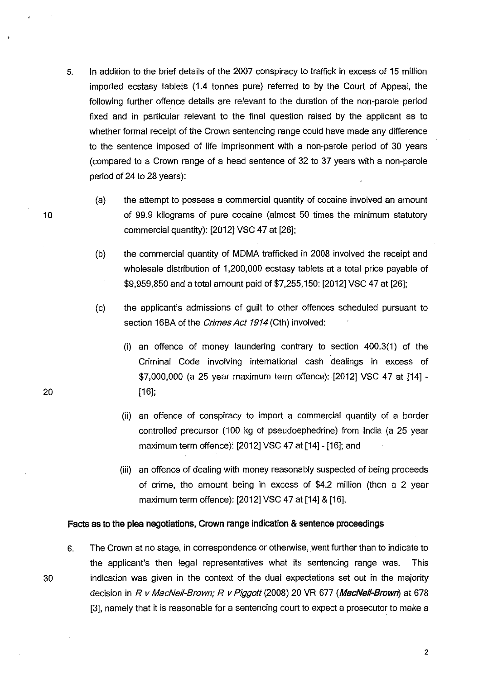- 5. In addition to the brief details of the 2007 conspiracy to traffick in excess of 15 million imported ecstasy tablets (1.4 tonnes pure) referred to by the Court of Appeal, the following further offence details are relevant to the duration of the non-parole period fixed and in particular relevant to the final question raised by the applicant as to whether formal receipt of the Crown sentencing range could have made any difference to the sentence imposed of life imprisonment with a non-parole period of 30 years (compared to a Crown range of a head sentence of 32 to 37 years with a non-parole period of 24 to 28 years):
	- (a) the attempt to possess a commercial quantity of cocaine involved an amount of 99.9 kilograms of pure cocaine (almost 50 times the minimum statutory commercial quantity): [2012] VSC 47 at [26];
	- (b) the commercial quantity of MDMA trafficked in 2008 involved the receipt and wholesale distribution of 1,200,000 ecstasy tablets at a total price payable of \$9,959,850 and a total amount paid of \$7,255,150: [2012] VSC 47 at [26];
	- (c) the applicant's admissions of guilt to other offences scheduled pursuant to section 16BA of the *Crimes Act 1914* (Cth) involved:
		- (i) an offence of money laundering contrary to section 400.3(1) of the Criminal Code involving international cash dealings in excess of \$7,000,000 (a 25 year maximum term offence): [2012] VSC 47 at [14] - [16];
		- (ii) an offence of conspiracy to import a commercial quantity of a border controlled precursor (100 kg of pseudoephedrine) from India (a 25 year maximum term offence): [2012) VSC 47 at [14]- [16]; and
		- (iii) an offence of dealing with money reasonably suspected of being proceeds of crime, the amount being in excess of \$4.2 million (then a 2 year maximum term offence): [2012) VSC 47 at [14) & [16].

#### **Facts as to the plea negotiations, Crown range indication & sentence proceedings**

6. The Crown at no stage, in correspondence or otherwise, went further than to indicate to the applicant's then legal representatives what its sentencing range was. This 30 indication was given in the context of the dual expectations set out in the majority decision in R *v* MacNei!-Brown; R *v* Piggott (2008) 20 VR 677 **(MacNeii-Brown)** at 678 [3), namely that it is reasonable for a sentencing court to expect a prosecutor to make a

10

20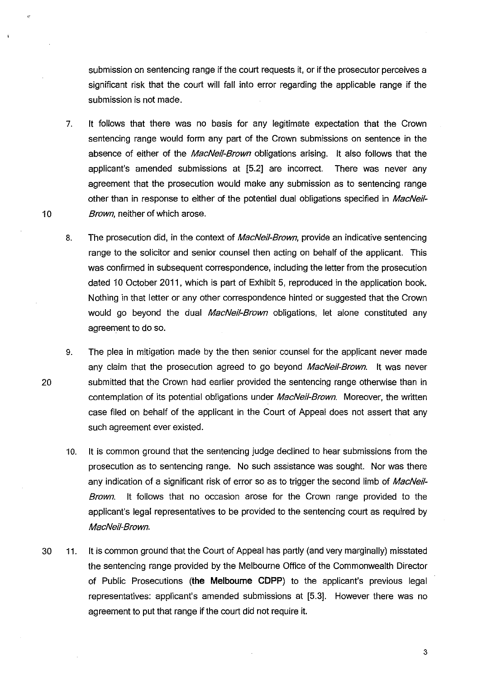submission on sentencing range if the court requests it, or if the prosecutor perceives a significant risk that the court will fall into error regarding the applicable range if the submission is not made.

7. It follows that there was no basis for any legitimate expectation that the Crown sentencing range would form any part of the Crown submissions on sentence in the absence of either of the MacNeil-Brown obligations arising. It also follows that the applicant's amended submissions at [5.2] are incorrect. There was never any agreement that the prosecution would make any submission as to sentencing range other than in response to either of the potential dual obligations specified in MacNeil-Brown, neither of which arose.

10

- 8. The prosecution did, in the context of *MacNeil-Brown*, provide an indicative sentencing range to the solicitor and senior counsel then acting on behalf of the applicant. This was confirmed in subsequent correspondence, including the letter from the prosecution dated 10 October 2011, which is part of Exhibit 5, reproduced in the application book. Nothing in that letter or any other correspondence hinted or suggested that the Crown would go beyond the dual MacNeil-Brown obligations, let alone constituted any agreement to do so.
- 9. The plea in mitigation made by the then senior counsel for the app)icant never made any claim that the prosecution agreed to go beyond MacNeil-Brown. It was never 20 submitted that the Crown had earlier provided the sentencing range otherwise than in contemplation of its potential obligations under MacNeil-Brown. Moreover, the written case filed on behalf of the applicant in the Court of Appeal does not assert that any such agreement ever existed.
	- 10. It is common ground that the sentencing judge declined to hear submissions from the prosecution as to sentencing range. No such assistance was sought. Nor was there any indication of a significant risk of error so as to trigger the second limb of MacNeil-Brown. It follows that no occasion arose for the Crown range provided to the applicant's legal representatives to be provided to the sentencing court as required by MacNeii-Brown.
- 30 11. It is common ground that the Court of Appeal has partly (and very marginally) misstated the sentencing range provided by the Melbourne Office of the Commonwealth Director of Public Prosecutions **(the Melbourne CDPP)** to the applicant's previous legal representatives: applicant's amended submissions at [5.3]. However there was no agreement to put that range if the court did not require it.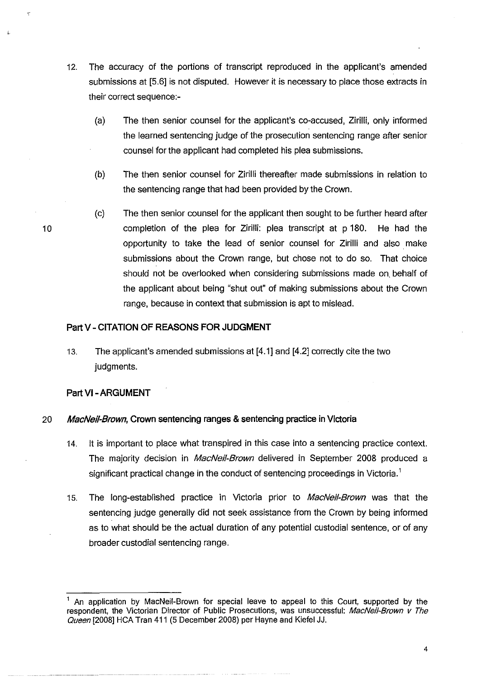- 12. The accuracy of the portions of transcript reproduced in the applicant's amended submissions at [5.6] is not disputed. However it is necessary to place those extracts in their correct sequence:-
	- (a} The then senior counsel for the applicant's co-accused, Zirilli, only informed the learned sentencing judge of the prosecution sentencing range after senior counsel for the applicant had completed his plea submissions.
	- (b) The then senior counsel for Zirilli thereafter made submissions in relation to the sentencing range that had been provided by the Crown.
	- (c) The then senior counsel for the applicant then sought to be further heard after completion of the plea for Zirilli: plea transcript at p 180. He had the opportunity to take the lead of senior counsel for Zirilli and also make submissions about the Crown range, but chose not to do so. That choice should not be overlooked when considering submissions made on. behalf of the applicant about being "shut out" of making submissions about the Crown range, because in context that submission is apt to mislead.

# **Part V- CITATION OF REASONS FOR JUDGMENT**

13. The applicant's amended submissions at [4.1] and [4.2] correctly cite the two judgments.

# **Part VI -ARGUMENT**

# 20 **MacNei/-Brown, Crown sentencing ranges & sentencing practice in Victoria**

- 14. It is important to place what transpired in this case into a sentencing practice context. The majority decision in *MacNeil-Brown* delivered in September 2008 produced a significant practical change in the conduct of sentencing proceedings in Victoria.<sup>1</sup>
- 15. The long-established practice in Victoria prior to *MacNeil-Brown* was that the sentencing judge generally did not seek assistance from the Crown by being informed as to what should be the actual duration of any potential custodial sentence, or of any broader custodial sentencing range.

An application by MacNeil-Brown for special leave to appeal to this Court, supported by the respondent, the Victorian Director of Public Prosecutions, was unsuccessful: MacNeil-Brown v The Queen [2008] HCA Tran 411 (5 December 2008) per Hayne and Kiefel JJ.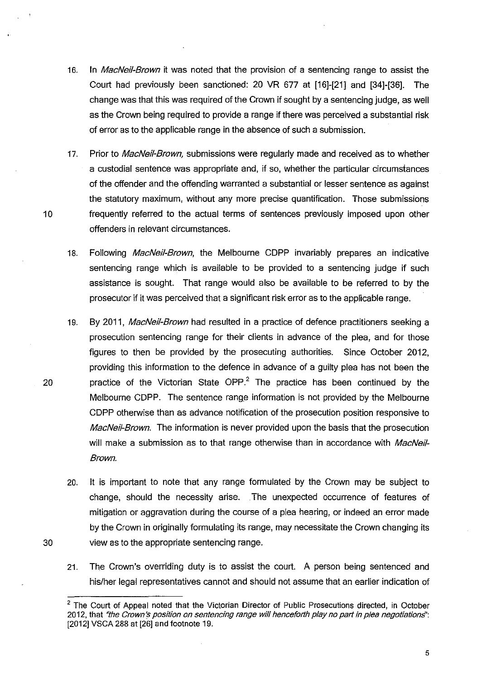- 16. In *MacNeil-Brown* it was noted that the provision of a sentencing range to assist the Court had previously been sanctioned: 20 VR 677 at [16]-[21] and [34]-[36]. The change was that this was required of the Crown if sought by a sentencing judge, as well as the Crown being required to provide a range if there was perceived a substantial risk of error as to the applicable range in the absence of such a submission.
- 17. Prior to MacNeil-Brown, submissions were regularly made and received as to whether a custodial sentence was appropriate and, if so, whether the particular circumstances of the offender and the offending warranted a substantial or lesser sentence as against the statutory maximum, without any more precise quantification. Those submissions 10 frequently referred to the actual terms of sentences previously imposed upon other offenders in relevant circumstances.
	- 18. Following MacNeil-Brown, the Melbourne CDPP invariably prepares an indicative sentencing range which is available to be provided to a sentencing judge if such assistance is sought. That range would also be available to be referred to by the prosecutor if it was perceived that a significant risk error as to the applicable range.
- 19. By 2011, MacNeil-Brown had resulted in a practice of defence practitioners seeking a prosecution sentencing range for their clients in advance of the plea, and for those figures to then be provided by the prosecuting authorities. Since October 2012, providing this information to the defence in advance of a guilty plea has not been the 20 **practice of the Victorian State OPP.**<sup>2</sup> The practice has been continued by the Melbourne CDPP. The sentence range information is not provided by the Melbourne CDPP otherwise than as advance notification of the prosecution position responsive to MacNeil-Brown. The information is never provided upon the basis that the prosecution will make a submission as to that range otherwise than in accordance with MacNeil-Brown.
- 20. It is important to note that any range formulated by the Crown may be subject to change, should the necessity arise. . The unexpected occurrence of features of mitigation or aggravation during the course of a plea hearing, or indeed an error made by the Crown in originally formulating its range, may necessitate the Crown changing its 30 view as to the appropriate sentencing range.
	- 21. The Crown's overriding duty is to assist the court. A person being sentenced and his/her legal representatives cannot and should not assume that an earlier indication of

 $2$  The Court of Appeal noted that the Victorian Director of Public Prosecutions directed, in October 2012, that "the Crown's position on sentencing range will henceforth play no part in plea negotiations": [2012] VSCA 288 at [26] and footnote 19.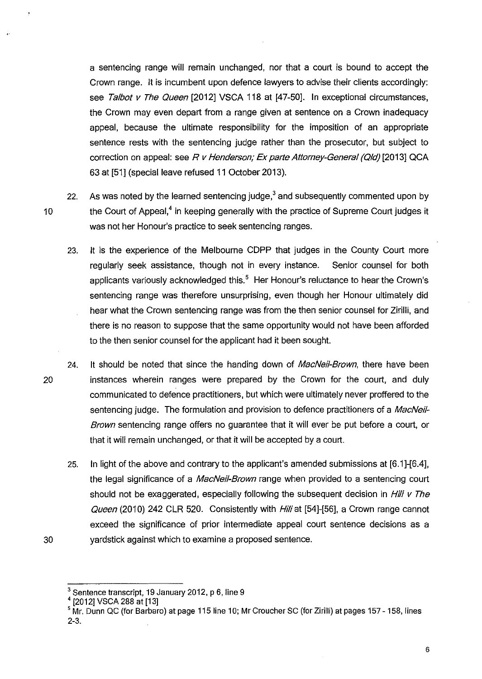a sentencing range will remain unchanged, nor that a court is bound to accept the Crown range. It is incumbent upon defence lawyers to advise their clients accordingly: see Talbot v The Queen [2012] VSCA 118 at [47-50]. In exceptional circumstances, the Crown may even depart from a range given at sentence on a Crown inadequacy appeal, because the ultimate responsibility for the imposition of an appropriate sentence rests with the sentencing judge rather than the prosecutor, but subject to correction on appeal: see R v Henderson; Ex parte Attorney-General (Qld) [2013] QCA 63 at [51] (special leave refused 11 October 2013).

22. As was noted by the learned sentencing judge, $3$  and subsequently commented upon by 10 the Court of Appeal,<sup>4</sup> in keeping generally with the practice of Supreme Court judges it was not her Honour's practice to seek sentencing ranges.

- 23. It is the experience of the Melbourne CDPP that judges in the County Court more regularly seek assistance, though not in every instance. Senior counsel for both applicants variously acknowledged this.<sup>5</sup> Her Honour's reluctance to hear the Crown's sentencing range was therefore unsurprising, even though her Honour ultimately did hear what the Crown sentencing range was from the then senior counsel for Zirilli, and there is no reason to suppose that the same opportunity would not have been afforded to the then senior counsel for the applicant had it been sought.
- 24. It should be noted that since the handing down of *MacNeil-Brown*, there have been 20 instances wherein ranges were prepared by the Crown for the court, and duly communicated to defence practitioners, but which were ultimately never proffered to the sentencing judge. The formulation and provision to defence practitioners of a MacNeil-Brown sentencing range offers no guarantee that it will ever be put before a court, or that it will remain unchanged, or that it will be accepted by a court.
- 25. In light of the above and contrary to the applicant's amended submissions at [6.1]-[6.4]. the legal significance of a *MacNeil-Brown* range when provided to a sentencing court should not be exaggerated, especially following the subsequent decision in Hili v The Queen (2010) 242 CLR 520. Consistently with Hill at [54]-[56], a Crown range cannot exceed the significance of prior intermediate appeal court sentence decisions as a 30 yardstick against which to examine a proposed sentence.

 $^3$  Sentence transcript, 19 January 2012, p 6, line 9<br> $^4$ [2012] VSCA 288 at [13]

<sup>&</sup>lt;sup>5</sup> Mr. Dunn QC (for Barbaro) at page 115 line 10; Mr Croucher SC (for Zirilli) at pages 157 - 158, lines 2-3.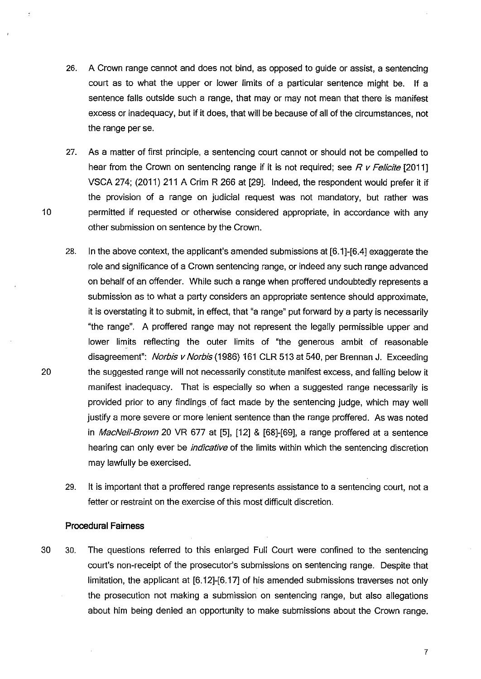- 26. A Crown range cannot and does not bind, as opposed to guide or assist, a sentencing court as to what the upper or lower limits of a particular sentence might be. If a sentence falls outside such a range, that may or may not mean that there is manifest excess or inadequacy, but if it does, that will be because of all of the circumstances, not the range per se.
- 27. As a matter of first principle, a sentencing court cannot or should not be compelled to hear from the Crown on sentencing range if it is not required; see  $R$  v Felicite  $[2011]$ VSCA 274; (2011) 211 A Grim R 266 at [29]. Indeed, the respondent would prefer it if the provision of a range on judicial request was not mandatory, but rather was 10 permitted if requested or otherwise considered appropriate, in accordance with any other submission on sentence by the Crown.
- 28. In the above context, the applicant's amended submissions at [6.1]-[6.4] exaggerate the role and significance of a Crown sentencing range, or indeed any such range advanced on behalf of an offender. While such a range when proffered undoubtedly represents a submission as to what a party considers an appropriate sentence should approximate, it is overstating it to submit, in effect, that "a range" put forward by a party is necessarily "the range". A proffered range may not represent the legally permissible upper and lower limits reflecting the outer limits of "the generous ambit of reasonable disagreement": Norbis v Norbis (1986) 161 CLR 513 at 540, per Brennan J. Exceeding 20 the suggested range will not necessarily constitute manifest excess, and falling below it manifest inadequacy. That is especially so when a suggested range necessarily is provided prior to any findings of fact made by the sentencing judge, which may well justify a more severe or more lenient sentence than the range proffered. As was noted in MacNeil-Brown 20 VR 677 at [5], [12] & [68]-[69], a range proffered at a sentence hearing can only ever be *indicative* of the limits within which the sentencing discretion may lawfully be exercised.
	- 29. It is important that a proffered range represents assistance to a sentencing court, not a fetter or restraint on the exercise of this most difficult discretion.

#### **Procedural Fairness**

30 30. The questions referred to this enlarged Full Court were confined to the sentencing court's non-receipt of the prosecutor's submissions on sentencing range. Despite that limitation, the applicant at [6.12]-[6.17] of his amended submissions traverses not only the prosecution not making a submission on sentencing range, but also allegations about him being denied an opportunity to make submissions about the Crown range.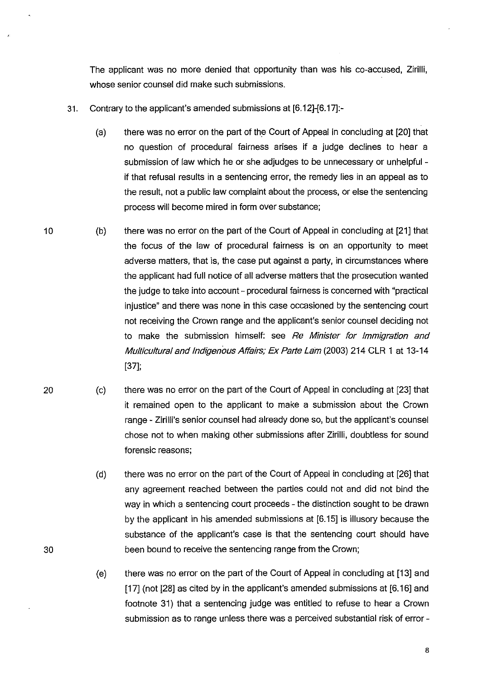The applicant was no more denied that opportunity than was his co-accused, Zirilli, whose senior counsel did make such submissions.

- 31. Contrary to the applicant's amended submissions at [6.12]-[6.17]:-
	- (a) there was no error on the part of the Court of Appeal in concluding at [20] that no question of procedural fairness arises if a judge declines to hear a submission of law which he or she adjudges to be unnecessary or unhelpful if that refusal results in a sentencing error, the remedy lies in an appeal as to the result, not a public law complaint about the process, or else the sentencing process will become mired in form over substance;
- 10 (b) there was no error on the part of the Court of Appeal in concluding at [21] that the focus of the law of procedural fairness is on an opportunity to meet adverse matters, that is, the case put against a party, in circumstances where the applicant had full notice of all adverse matters that the prosecution wanted the judge to take into account- procedural fairness is concerned with "practical injustice" and there was none in this case occasioned by the sentencing court not receiving the Crown range and the applicant's senior counsel deciding not to make the submission himself: see Re Minister for Immigration and Multicultural and Indigenous Affairs; Ex Parte Lam (2003) 214 CLR 1 at 13-14 [37];
- 20 (c) there was no error on the part of the Court of Appeal in concluding at [23] that it remained open to the applicant to make a submission about the Crown range- Zirilli's senior counsel had already done so, but the applicant's counsel chose not to when making other submissions after Zirilli, doubtless for sound forensic reasons;

- (d) there was no error on the part of the Court of Appeal in concluding at [26] that any agreement reached between the parties could not and did not bind the way in which a sentencing court proceeds- the distinction sought to be drawn by the applicant in his amended submissions at [6.15] is illusory because the substance of the applicant's case is that the sentencing court should have been bound to receive the sentencing range from the Crown;
- (e) there was no error on the part of the Court of Appeal in concluding at [13] and [17] (not [28] as cited by in the applicant's amended submissions at [6.16] and footnote 31) that a sentencing judge was entitled to refuse to hear a Crown submission as to range unless there was a perceived substantial risk of error-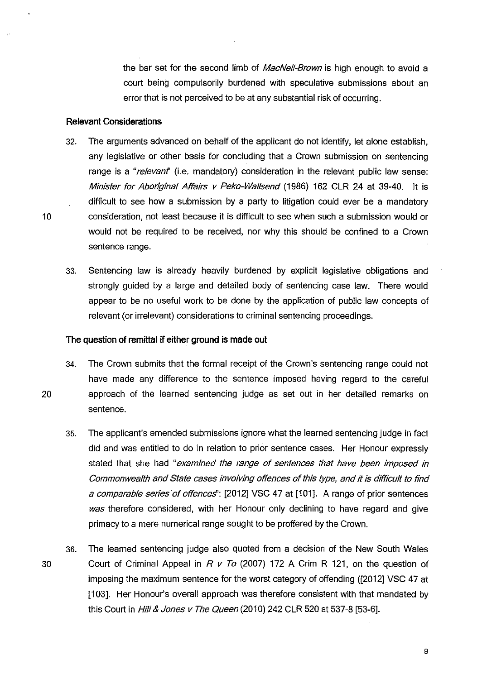the bar set for the second limb of MacNeil-Brown is high enough to avoid a court being compulsorily burdened with speculative submissions about an error that is not perceived to be at any substantial risk of occurring.

## **Relevant Considerations**

- 32. The arguments advanced on behalf of the applicant do not identify, let alone establish, any legislative or other basis for concluding that a Crown submission on sentencing range is a "relevant" (i.e. mandatory) consideration in the relevant public law sense: Minister for Aboriginal Affairs v Peko-Wallsend (1986) 162 CLR 24 at 39-40. It is difficult to see how a submission by a party to litigation could ever be a mandatory 10 consideration, not least because it is difficult to see when such a submission would or would not be required to be received, nor why this should be confined to a Crown sentence range.
	- 33. Sentencing law is already heavily burdened by explicit legislative obligations and strongly guided by a large and detailed body of sentencing case law. There would appear to be no useful work to be done by the application of public law concepts of relevant (or irrelevant) considerations to criminal sentencing proceedings.

## **The question of remittal if either ground is made out**

- 34. The Crown submits that the formal receipt of the Crown's sentencing range could not have made any difference to the sentence imposed having regard to the careful 20 approach of the learned sentencing judge as set out in her detailed remarks on sentence.
	- 35. The applicant's amended submissions ignore what the learned sentencing judge in fact did and was entitled to do in relation to prior sentence cases. Her Honour expressly stated that she had "examined the range of sentences that have been imposed in Commonwealth and State cases involving offences of this type, and it is difficult to find a comparable series of offences": [2012] VSC 47 at [101]. A range of prior sentences was therefore considered, with her Honour only declining to have regard and give primacy to a mere numerical range sought to be proffered by the Crown.
- 36. The learned sentencing judge also quoted from a decision of the New South Wales 30 Court of Criminal Appeal in R *v* To (2007) 172 A Grim R 121, on the question of imposing the maximum sentence for the worst category of offending ([2012] VSC 47 at [103]. Her Honour's overall approach was therefore consistent with that mandated by this Court in *Hili & Jones v The Queen* (2010) 242 CLR 520 at 537-8 [53-6].